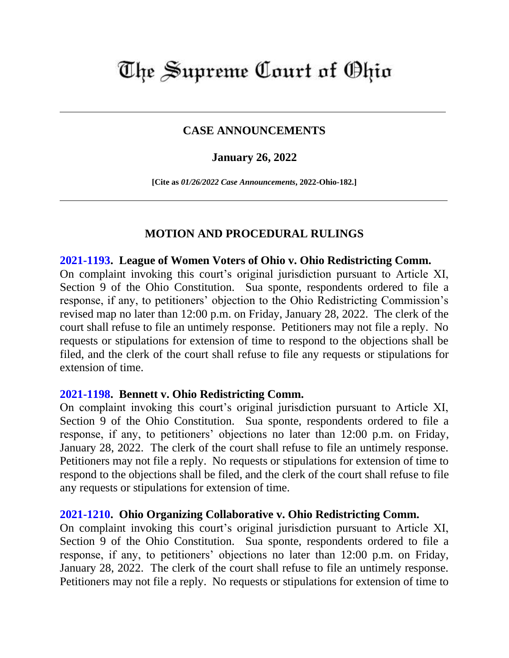# The Supreme Court of Ohio

## **CASE ANNOUNCEMENTS**

## **January 26, 2022**

**[Cite as** *01/26/2022 Case Announcements***, 2022-Ohio-182.]**

## **MOTION AND PROCEDURAL RULINGS**

### **[2021-1193.](https://www.supremecourt.ohio.gov/Clerk/ecms/#/caseinfo/2021/1193) League of Women Voters of Ohio v. Ohio Redistricting Comm.**

On complaint invoking this court's original jurisdiction pursuant to Article XI, Section 9 of the Ohio Constitution. Sua sponte, respondents ordered to file a response, if any, to petitioners' objection to the Ohio Redistricting Commission's revised map no later than 12:00 p.m. on Friday, January 28, 2022. The clerk of the court shall refuse to file an untimely response. Petitioners may not file a reply. No requests or stipulations for extension of time to respond to the objections shall be filed, and the clerk of the court shall refuse to file any requests or stipulations for extension of time.

### **[2021-1198.](https://www.supremecourt.ohio.gov/Clerk/ecms/#/caseinfo/2021/1198) Bennett v. Ohio Redistricting Comm.**

On complaint invoking this court's original jurisdiction pursuant to Article XI, Section 9 of the Ohio Constitution. Sua sponte, respondents ordered to file a response, if any, to petitioners' objections no later than 12:00 p.m. on Friday, January 28, 2022. The clerk of the court shall refuse to file an untimely response. Petitioners may not file a reply. No requests or stipulations for extension of time to respond to the objections shall be filed, and the clerk of the court shall refuse to file any requests or stipulations for extension of time.

### **[2021-1210.](https://www.supremecourt.ohio.gov/Clerk/ecms/#/caseinfo/2021/1210) Ohio Organizing Collaborative v. Ohio Redistricting Comm.**

On complaint invoking this court's original jurisdiction pursuant to Article XI, Section 9 of the Ohio Constitution. Sua sponte, respondents ordered to file a response, if any, to petitioners' objections no later than 12:00 p.m. on Friday, January 28, 2022. The clerk of the court shall refuse to file an untimely response. Petitioners may not file a reply. No requests or stipulations for extension of time to